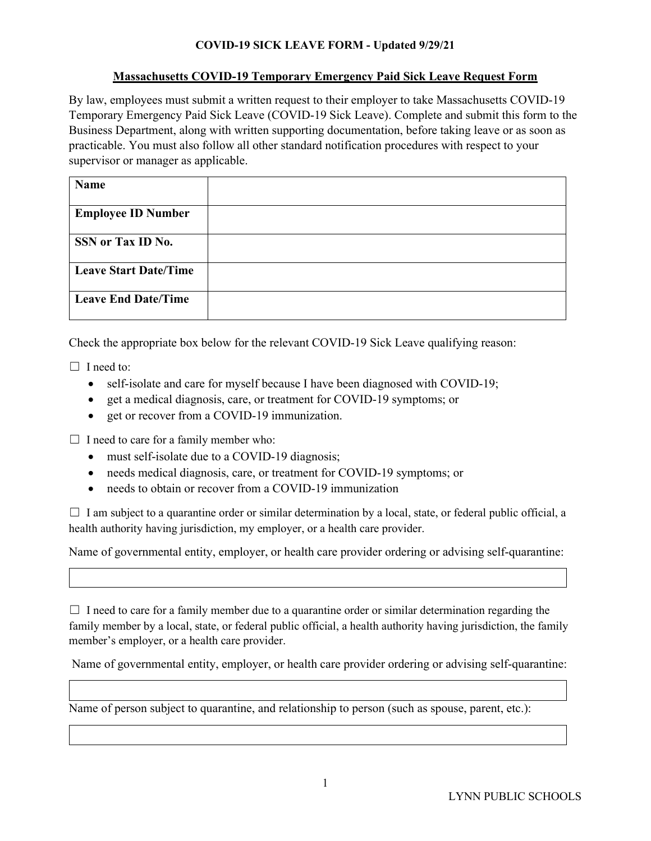## **COVID-19 SICK LEAVE FORM - Updated 9/29/21**

## **Massachusetts COVID-19 Temporary Emergency Paid Sick Leave Request Form**

By law, employees must submit a written request to their employer to take Massachusetts COVID-19 Temporary Emergency Paid Sick Leave (COVID-19 Sick Leave). Complete and submit this form to the Business Department, along with written supporting documentation, before taking leave or as soon as practicable. You must also follow all other standard notification procedures with respect to your supervisor or manager as applicable.

| Name                         |  |
|------------------------------|--|
| <b>Employee ID Number</b>    |  |
| SSN or Tax ID No.            |  |
| <b>Leave Start Date/Time</b> |  |
| <b>Leave End Date/Time</b>   |  |

Check the appropriate box below for the relevant COVID-19 Sick Leave qualifying reason:

 $\Box$  I need to:

- self-isolate and care for myself because I have been diagnosed with COVID-19;
- get a medical diagnosis, care, or treatment for COVID-19 symptoms; or
- get or recover from a COVID-19 immunization.

 $\Box$  I need to care for a family member who:

- must self-isolate due to a COVID-19 diagnosis;
- needs medical diagnosis, care, or treatment for COVID-19 symptoms; or
- needs to obtain or recover from a COVID-19 immunization

 $\Box$  I am subject to a quarantine order or similar determination by a local, state, or federal public official, a health authority having jurisdiction, my employer, or a health care provider.

Name of governmental entity, employer, or health care provider ordering or advising self-quarantine:

 $\Box$  I need to care for a family member due to a quarantine order or similar determination regarding the family member by a local, state, or federal public official, a health authority having jurisdiction, the family member's employer, or a health care provider.

Name of governmental entity, employer, or health care provider ordering or advising self-quarantine:

Name of person subject to quarantine, and relationship to person (such as spouse, parent, etc.):